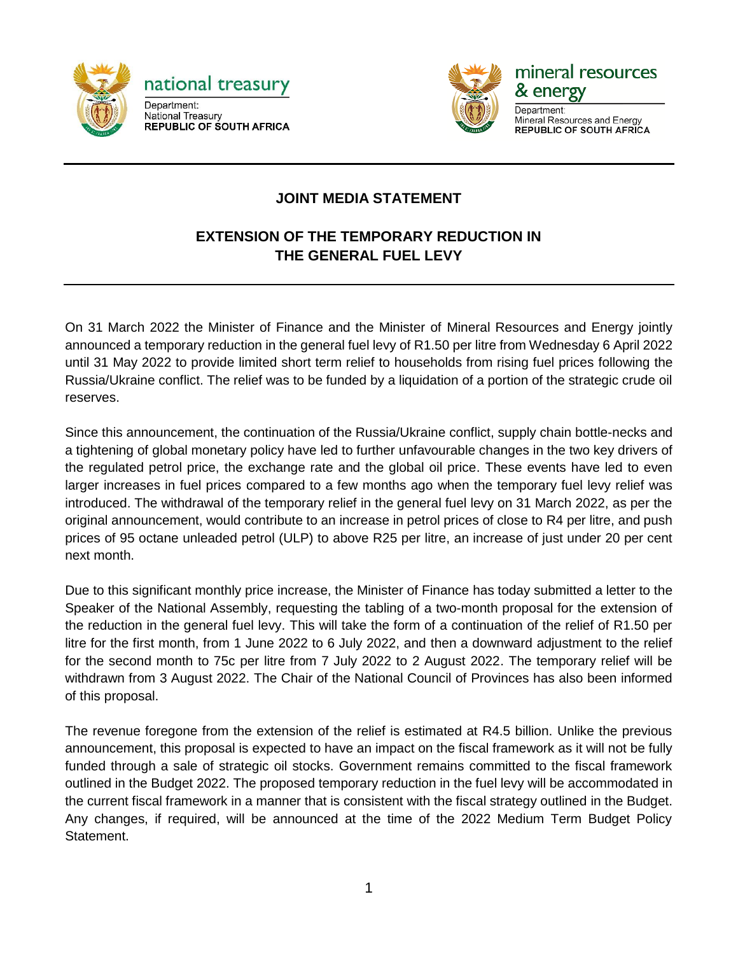



mineral resources & energy

Department: Mineral Resources and Energy **REPUBLIC OF SOUTH AFRICA** 

## **JOINT MEDIA STATEMENT**

## **EXTENSION OF THE TEMPORARY REDUCTION IN THE GENERAL FUEL LEVY**

On 31 March 2022 the Minister of Finance and the Minister of Mineral Resources and Energy jointly announced a temporary reduction in the general fuel levy of R1.50 per litre from Wednesday 6 April 2022 until 31 May 2022 to provide limited short term relief to households from rising fuel prices following the Russia/Ukraine conflict. The relief was to be funded by a liquidation of a portion of the strategic crude oil reserves.

Since this announcement, the continuation of the Russia/Ukraine conflict, supply chain bottle-necks and a tightening of global monetary policy have led to further unfavourable changes in the two key drivers of the regulated petrol price, the exchange rate and the global oil price. These events have led to even larger increases in fuel prices compared to a few months ago when the temporary fuel levy relief was introduced. The withdrawal of the temporary relief in the general fuel levy on 31 March 2022, as per the original announcement, would contribute to an increase in petrol prices of close to R4 per litre, and push prices of 95 octane unleaded petrol (ULP) to above R25 per litre, an increase of just under 20 per cent next month.

Due to this significant monthly price increase, the Minister of Finance has today submitted a letter to the Speaker of the National Assembly, requesting the tabling of a two-month proposal for the extension of the reduction in the general fuel levy. This will take the form of a continuation of the relief of R1.50 per litre for the first month, from 1 June 2022 to 6 July 2022, and then a downward adjustment to the relief for the second month to 75c per litre from 7 July 2022 to 2 August 2022. The temporary relief will be withdrawn from 3 August 2022. The Chair of the National Council of Provinces has also been informed of this proposal.

The revenue foregone from the extension of the relief is estimated at R4.5 billion. Unlike the previous announcement, this proposal is expected to have an impact on the fiscal framework as it will not be fully funded through a sale of strategic oil stocks. Government remains committed to the fiscal framework outlined in the Budget 2022. The proposed temporary reduction in the fuel levy will be accommodated in the current fiscal framework in a manner that is consistent with the fiscal strategy outlined in the Budget. Any changes, if required, will be announced at the time of the 2022 Medium Term Budget Policy Statement.